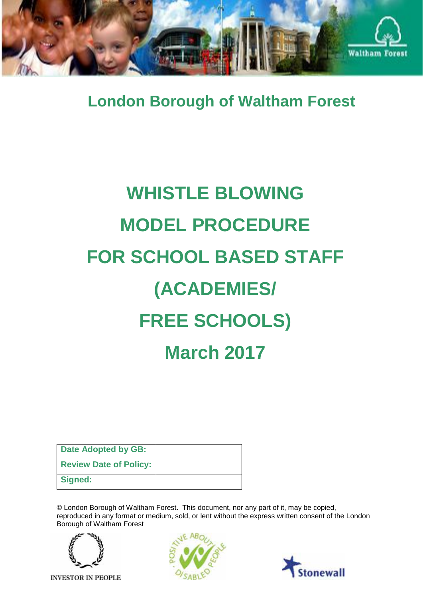

**London Borough of Waltham Forest**

# **WHISTLE BLOWING MODEL PROCEDURE FOR SCHOOL BASED STAFF (ACADEMIES/ FREE SCHOOLS) March 2017**

| Date Adopted by GB:           |  |
|-------------------------------|--|
| <b>Review Date of Policy:</b> |  |
| Signed:                       |  |

© London Borough of Waltham Forest. This document, nor any part of it, may be copied, reproduced in any format or medium, sold, or lent without the express written consent of the London Borough of Waltham Forest



**INVESTOR IN PEOPLE** 



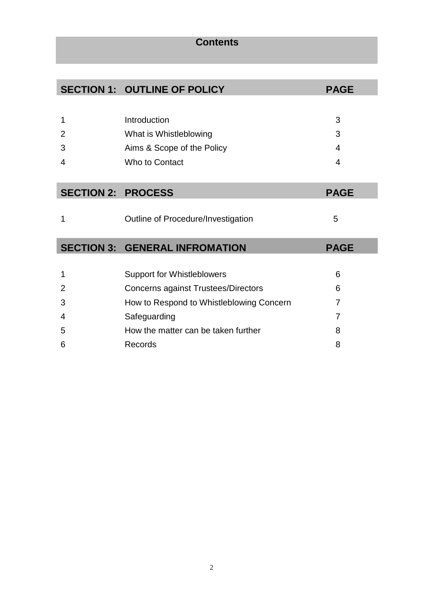# **Contents**

|                           | <b>SECTION 1: OUTLINE OF POLICY</b>        | <b>PAGE</b>             |
|---------------------------|--------------------------------------------|-------------------------|
|                           |                                            |                         |
| 1                         | Introduction                               | 3                       |
| 2                         | What is Whistleblowing                     | 3                       |
| 3                         | Aims & Scope of the Policy                 | $\overline{\mathbf{4}}$ |
| 4                         | Who to Contact                             | 4                       |
|                           |                                            |                         |
| <b>SECTION 2: PROCESS</b> |                                            | <b>PAGE</b>             |
|                           |                                            |                         |
| 1                         | Outline of Procedure/Investigation         | 5                       |
|                           |                                            |                         |
|                           | <b>SECTION 3: GENERAL INFROMATION</b>      | <b>PAGE</b>             |
|                           |                                            |                         |
| 1                         | <b>Support for Whistleblowers</b>          | 6                       |
| 2                         | <b>Concerns against Trustees/Directors</b> | 6                       |
| 3                         | How to Respond to Whistleblowing Concern   | 7                       |
| 4                         | Safeguarding                               | 7                       |
| 5                         | How the matter can be taken further        | 8                       |

8

6

Records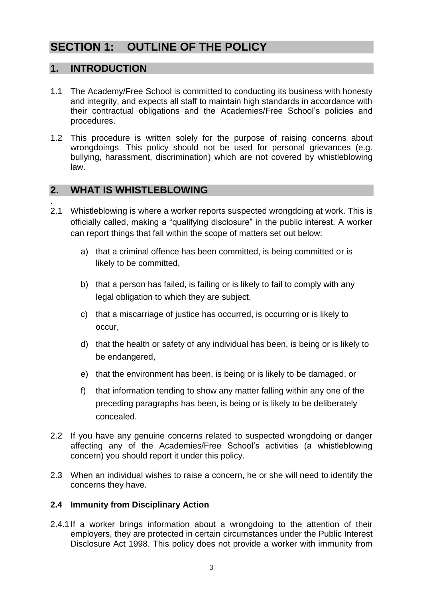# **SECTION 1: OUTLINE OF THE POLICY**

## **1. INTRODUCTION**

- 1.1 The Academy/Free School is committed to conducting its business with honesty and integrity, and expects all staff to maintain high standards in accordance with their contractual obligations and the Academies/Free School's policies and procedures.
- 1.2 This procedure is written solely for the purpose of raising concerns about wrongdoings. This policy should not be used for personal grievances (e.g. bullying, harassment, discrimination) which are not covered by whistleblowing law.

## **2. WHAT IS WHISTLEBLOWING**

- . 2.1 Whistleblowing is where a worker reports suspected wrongdoing at work. This is officially called, making a "qualifying disclosure" in the public interest. A worker can report things that fall within the scope of matters set out below:
	- a) that a criminal offence has been committed, is being committed or is likely to be committed,
	- b) that a person has failed, is failing or is likely to fail to comply with any legal obligation to which they are subject,
	- c) that a miscarriage of justice has occurred, is occurring or is likely to occur,
	- d) that the health or safety of any individual has been, is being or is likely to be endangered,
	- e) that the environment has been, is being or is likely to be damaged, or
	- f) that information tending to show any matter falling within any one of the preceding paragraphs has been, is being or is likely to be deliberately concealed.
- 2.2 If you have any genuine concerns related to suspected wrongdoing or danger affecting any of the Academies/Free School's activities (a whistleblowing concern) you should report it under this policy.
- 2.3 When an individual wishes to raise a concern, he or she will need to identify the concerns they have.

#### **2.4 Immunity from Disciplinary Action**

2.4.1If a worker brings information about a wrongdoing to the attention of their employers, they are protected in certain circumstances under the Public Interest Disclosure Act 1998. This policy does not provide a worker with immunity from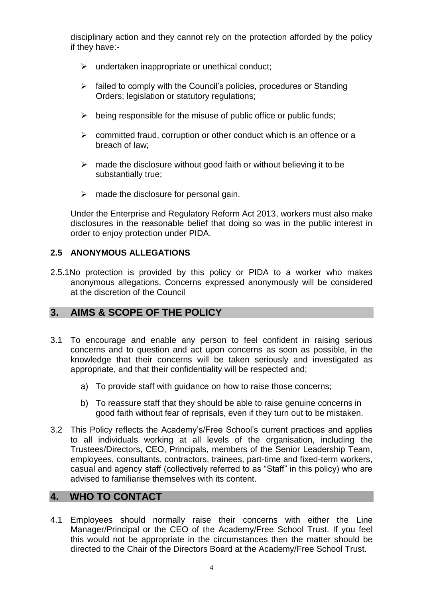disciplinary action and they cannot rely on the protection afforded by the policy if they have:-

- $\triangleright$  undertaken inappropriate or unethical conduct;
- $\triangleright$  failed to comply with the Council's policies, procedures or Standing Orders; legislation or statutory regulations;
- $\triangleright$  being responsible for the misuse of public office or public funds;
- $\triangleright$  committed fraud, corruption or other conduct which is an offence or a breach of law;
- $\triangleright$  made the disclosure without good faith or without believing it to be substantially true;
- $\triangleright$  made the disclosure for personal gain.

Under the Enterprise and Regulatory Reform Act 2013, workers must also make disclosures in the reasonable belief that doing so was in the public interest in order to enjoy protection under PIDA.

#### **2.5 ANONYMOUS ALLEGATIONS**

2.5.1No protection is provided by this policy or PIDA to a worker who makes anonymous allegations. Concerns expressed anonymously will be considered at the discretion of the Council

## **3. AIMS & SCOPE OF THE POLICY**

- 3.1 To encourage and enable any person to feel confident in raising serious concerns and to question and act upon concerns as soon as possible, in the knowledge that their concerns will be taken seriously and investigated as appropriate, and that their confidentiality will be respected and;
	- a) To provide staff with guidance on how to raise those concerns;
	- b) To reassure staff that they should be able to raise genuine concerns in good faith without fear of reprisals, even if they turn out to be mistaken.
- 3.2 This Policy reflects the Academy's/Free School's current practices and applies to all individuals working at all levels of the organisation, including the Trustees/Directors, CEO, Principals, members of the Senior Leadership Team, employees, consultants, contractors, trainees, part-time and fixed-term workers, casual and agency staff (collectively referred to as "Staff" in this policy) who are advised to familiarise themselves with its content.

## **4. WHO TO CONTACT**

4.1 Employees should normally raise their concerns with either the Line Manager/Principal or the CEO of the Academy/Free School Trust. If you feel this would not be appropriate in the circumstances then the matter should be directed to the Chair of the Directors Board at the Academy/Free School Trust.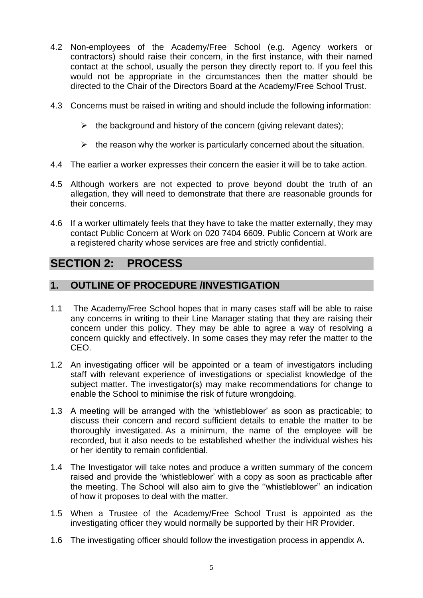- 4.2 Non-employees of the Academy/Free School (e.g. Agency workers or contractors) should raise their concern, in the first instance, with their named contact at the school, usually the person they directly report to. If you feel this would not be appropriate in the circumstances then the matter should be directed to the Chair of the Directors Board at the Academy/Free School Trust.
- 4.3 Concerns must be raised in writing and should include the following information:
	- $\triangleright$  the background and history of the concern (giving relevant dates);
	- $\triangleright$  the reason why the worker is particularly concerned about the situation.
- 4.4 The earlier a worker expresses their concern the easier it will be to take action.
- 4.5 Although workers are not expected to prove beyond doubt the truth of an allegation, they will need to demonstrate that there are reasonable grounds for their concerns.
- 4.6 If a worker ultimately feels that they have to take the matter externally, they may contact Public Concern at Work on 020 7404 6609. Public Concern at Work are a registered charity whose services are free and strictly confidential.

# **SECTION 2: PROCESS**

## **1. OUTLINE OF PROCEDURE /INVESTIGATION**

- 1.1 The Academy/Free School hopes that in many cases staff will be able to raise any concerns in writing to their Line Manager stating that they are raising their concern under this policy. They may be able to agree a way of resolving a concern quickly and effectively. In some cases they may refer the matter to the CEO.
- 1.2 An investigating officer will be appointed or a team of investigators including staff with relevant experience of investigations or specialist knowledge of the subject matter. The investigator(s) may make recommendations for change to enable the School to minimise the risk of future wrongdoing.
- 1.3 A meeting will be arranged with the 'whistleblower' as soon as practicable; to discuss their concern and record sufficient details to enable the matter to be thoroughly investigated. As a minimum, the name of the employee will be recorded, but it also needs to be established whether the individual wishes his or her identity to remain confidential.
- 1.4 The Investigator will take notes and produce a written summary of the concern raised and provide the 'whistleblower' with a copy as soon as practicable after the meeting. The School will also aim to give the ''whistleblower'' an indication of how it proposes to deal with the matter.
- 1.5 When a Trustee of the Academy/Free School Trust is appointed as the investigating officer they would normally be supported by their HR Provider.
- 1.6 The investigating officer should follow the investigation process in appendix A.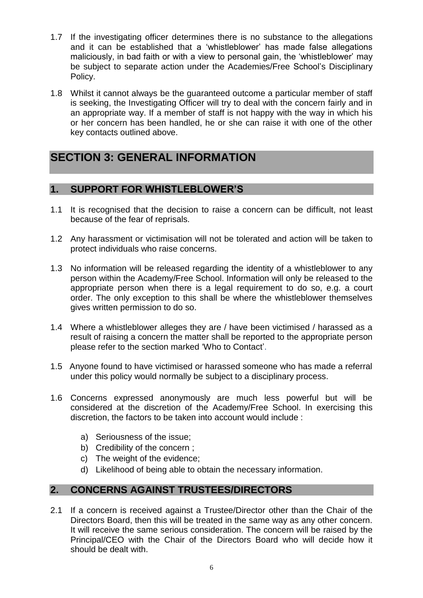- 1.7 If the investigating officer determines there is no substance to the allegations and it can be established that a 'whistleblower' has made false allegations maliciously, in bad faith or with a view to personal gain, the 'whistleblower' may be subject to separate action under the Academies/Free School's Disciplinary Policy.
- 1.8 Whilst it cannot always be the guaranteed outcome a particular member of staff is seeking, the Investigating Officer will try to deal with the concern fairly and in an appropriate way. If a member of staff is not happy with the way in which his or her concern has been handled, he or she can raise it with one of the other key contacts outlined above.

# **SECTION 3: GENERAL INFORMATION**

## **1. SUPPORT FOR WHISTLEBLOWER'S**

- 1.1 It is recognised that the decision to raise a concern can be difficult, not least because of the fear of reprisals.
- 1.2 Any harassment or victimisation will not be tolerated and action will be taken to protect individuals who raise concerns.
- 1.3 No information will be released regarding the identity of a whistleblower to any person within the Academy/Free School. Information will only be released to the appropriate person when there is a legal requirement to do so, e.g. a court order. The only exception to this shall be where the whistleblower themselves gives written permission to do so.
- 1.4 Where a whistleblower alleges they are / have been victimised / harassed as a result of raising a concern the matter shall be reported to the appropriate person please refer to the section marked 'Who to Contact'.
- 1.5 Anyone found to have victimised or harassed someone who has made a referral under this policy would normally be subject to a disciplinary process.
- 1.6 Concerns expressed anonymously are much less powerful but will be considered at the discretion of the Academy/Free School. In exercising this discretion, the factors to be taken into account would include :
	- a) Seriousness of the issue;
	- b) Credibility of the concern ;
	- c) The weight of the evidence;
	- d) Likelihood of being able to obtain the necessary information.

## **2. CONCERNS AGAINST TRUSTEES/DIRECTORS**

2.1 If a concern is received against a Trustee/Director other than the Chair of the Directors Board, then this will be treated in the same way as any other concern. It will receive the same serious consideration. The concern will be raised by the Principal/CEO with the Chair of the Directors Board who will decide how it should be dealt with.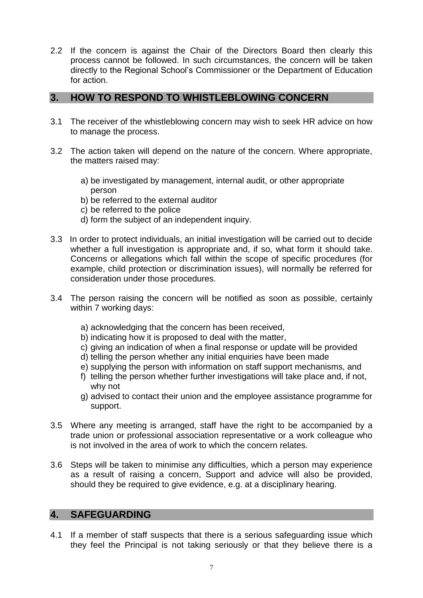2.2 If the concern is against the Chair of the Directors Board then clearly this process cannot be followed. In such circumstances, the concern will be taken directly to the Regional School's Commissioner or the Department of Education for action.

### **3. HOW TO RESPOND TO WHISTLEBLOWING CONCERN**

- 3.1 The receiver of the whistleblowing concern may wish to seek HR advice on how to manage the process.
- 3.2 The action taken will depend on the nature of the concern. Where appropriate, the matters raised may:
	- a) be investigated by management, internal audit, or other appropriate person
	- b) be referred to the external auditor
	- c) be referred to the police
	- d) form the subject of an independent inquiry.
- 3.3 In order to protect individuals, an initial investigation will be carried out to decide whether a full investigation is appropriate and, if so, what form it should take. Concerns or allegations which fall within the scope of specific procedures (for example, child protection or discrimination issues), will normally be referred for consideration under those procedures.
- 3.4 The person raising the concern will be notified as soon as possible, certainly within 7 working days:
	- a) acknowledging that the concern has been received,
	- b) indicating how it is proposed to deal with the matter,
	- c) giving an indication of when a final response or update will be provided
	- d) telling the person whether any initial enquiries have been made
	- e) supplying the person with information on staff support mechanisms, and
	- f) telling the person whether further investigations will take place and, if not, why not
	- g) advised to contact their union and the employee assistance programme for support.
- 3.5 Where any meeting is arranged, staff have the right to be accompanied by a trade union or professional association representative or a work colleague who is not involved in the area of work to which the concern relates.
- 3.6 Steps will be taken to minimise any difficulties, which a person may experience as a result of raising a concern, Support and advice will also be provided, should they be required to give evidence, e.g. at a disciplinary hearing.

## **4. SAFEGUARDING**

4.1 If a member of staff suspects that there is a serious safeguarding issue which they feel the Principal is not taking seriously or that they believe there is a